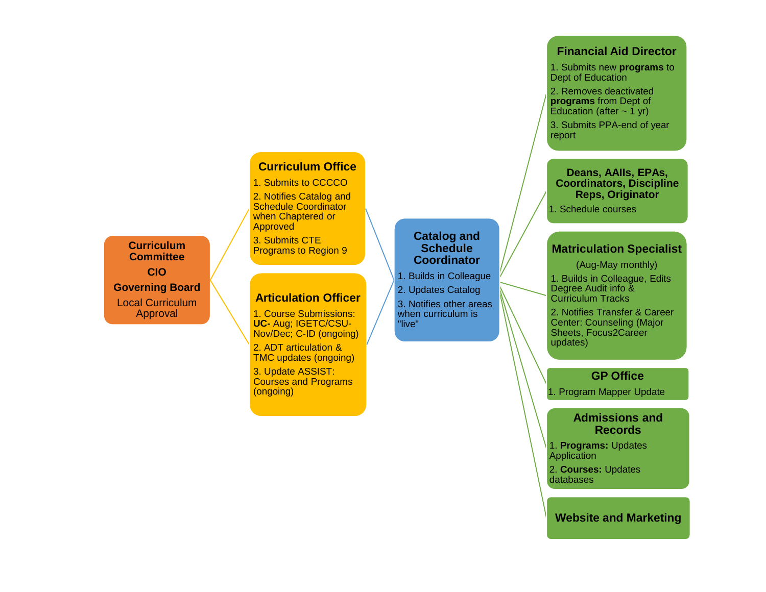# **Curriculum Office**

#### 1. Submits to CCCCO

2. Notifies Catalog and Schedule Coordinator when Chaptered or Approved

3. Submits CTE Programs to Region 9

#### **Articulation Officer**

1. Course Submissions: **UC-** Aug; IGETC/CSU-Nov/Dec; C-ID (ongoing)

2. ADT articulation & TMC updates (ongoing)

3. Update ASSIST: Courses and Programs (ongoing)

#### **Catalog and Catalog and Schedule Schedule Coordinator Coordinator**

- 1. Builds in Colleague 1. Builds in Colleague
- 2. Updates Catalog 2. Updates Catalog

3. Notifies other areas 3. Notifies other areas when curriculum is when curriculum is "live" "live"

#### **Financial Aid Director**

1. Submits new **programs** to Dept of Education

2. Removes deactivated **programs** from Dept of

Education (after  $\sim$  1 yr)

3. Submits PPA-end of year report

**Deans, AAIIs, EPAs, Coordinators, Discipline Reps, Originator**

1. Schedule courses

## **Matriculation Specialist**

(Aug-May monthly)

1. Builds in Colleague, Edits Degree Audit info & Curriculum Tracks

2. Notifies Transfer & Career Center: Counseling (Major Sheets, Focus2Career updates)

### **GP Office**

1. Program Mapper Update

#### **Admissions and Records**

1. **Programs:** Updates **Application** 

2. **Courses:** Updates databases

**Website and Marketing**

**Curriculum Committee CIO Governing Board** Local Curriculum Approval